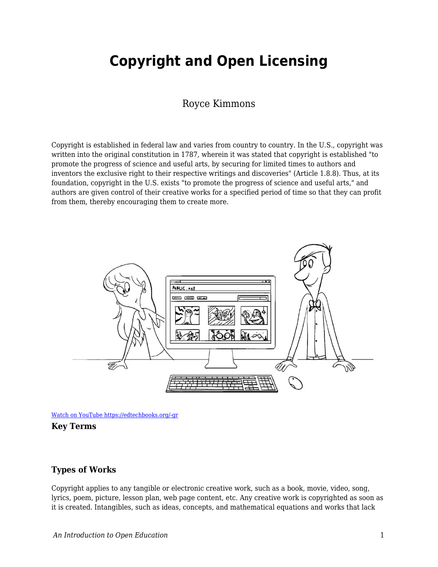# **Copyright and Open Licensing**

## Royce Kimmons

Copyright is established in federal law and varies from country to country. In the U.S., copyright was written into the original constitution in 1787, wherein it was stated that copyright is established "to promote the progress of science and useful arts, by securing for limited times to authors and inventors the exclusive right to their respective writings and discoveries" (Article 1.8.8). Thus, at its foundation, copyright in the U.S. exists "to promote the progress of science and useful arts," and authors are given control of their creative works for a specified period of time so that they can profit from them, thereby encouraging them to create more.



[Watch on YouTube https://edtechbooks.org/-gr](https://www.youtube.com/embed/-9H6Ksp36q0?autoplay=1&rel=0&showinfo=0&modestbranding=1)



## **Types of Works**

Copyright applies to any tangible or electronic creative work, such as a book, movie, video, song, lyrics, poem, picture, lesson plan, web page content, etc. Any creative work is copyrighted as soon as it is created. Intangibles, such as ideas, concepts, and mathematical equations and works that lack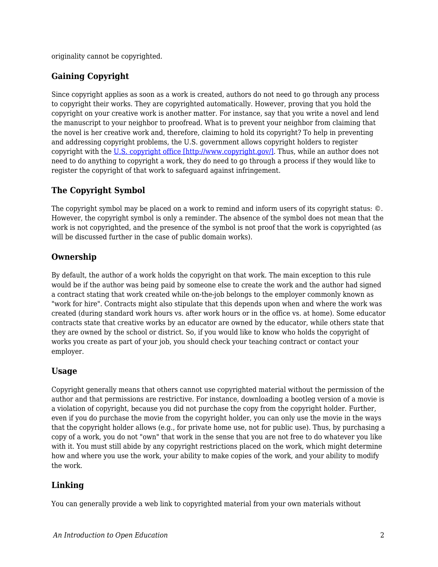originality cannot be copyrighted.

## **Gaining Copyright**

Since copyright applies as soon as a work is created, authors do not need to go through any process to copyright their works. They are copyrighted automatically. However, proving that you hold the copyright on your creative work is another matter. For instance, say that you write a novel and lend the manuscript to your neighbor to proofread. What is to prevent your neighbor from claiming that the novel is her creative work and, therefore, claiming to hold its copyright? To help in preventing and addressing copyright problems, the U.S. government allows copyright holders to register copyright with the [U.S. copyright office \[http://www.copyright.gov/\].](http://www.copyright.gov/) Thus, while an author does not need to do anything to copyright a work, they do need to go through a process if they would like to register the copyright of that work to safeguard against infringement.

## **The Copyright Symbol**

The copyright symbol may be placed on a work to remind and inform users of its copyright status: ©. However, the copyright symbol is only a reminder. The absence of the symbol does not mean that the work is not copyrighted, and the presence of the symbol is not proof that the work is copyrighted (as will be discussed further in the case of public domain works).

## **Ownership**

By default, the author of a work holds the copyright on that work. The main exception to this rule would be if the author was being paid by someone else to create the work and the author had signed a contract stating that work created while on-the-job belongs to the employer commonly known as "work for hire". Contracts might also stipulate that this depends upon when and where the work was created (during standard work hours vs. after work hours or in the office vs. at home). Some educator contracts state that creative works by an educator are owned by the educator, while others state that they are owned by the school or district. So, if you would like to know who holds the copyright of works you create as part of your job, you should check your teaching contract or contact your employer.

## **Usage**

Copyright generally means that others cannot use copyrighted material without the permission of the author and that permissions are restrictive. For instance, downloading a bootleg version of a movie is a violation of copyright, because you did not purchase the copy from the copyright holder. Further, even if you do purchase the movie from the copyright holder, you can only use the movie in the ways that the copyright holder allows (e.g., for private home use, not for public use). Thus, by purchasing a copy of a work, you do not "own" that work in the sense that you are not free to do whatever you like with it. You must still abide by any copyright restrictions placed on the work, which might determine how and where you use the work, your ability to make copies of the work, and your ability to modify the work.

## **Linking**

You can generally provide a web link to copyrighted material from your own materials without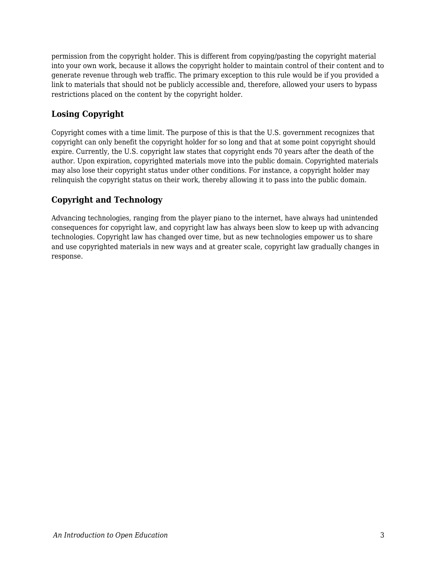permission from the copyright holder. This is different from copying/pasting the copyright material into your own work, because it allows the copyright holder to maintain control of their content and to generate revenue through web traffic. The primary exception to this rule would be if you provided a link to materials that should not be publicly accessible and, therefore, allowed your users to bypass restrictions placed on the content by the copyright holder.

## **Losing Copyright**

Copyright comes with a time limit. The purpose of this is that the U.S. government recognizes that copyright can only benefit the copyright holder for so long and that at some point copyright should expire. Currently, the U.S. copyright law states that copyright ends 70 years after the death of the author. Upon expiration, copyrighted materials move into the public domain. Copyrighted materials may also lose their copyright status under other conditions. For instance, a copyright holder may relinquish the copyright status on their work, thereby allowing it to pass into the public domain.

## **Copyright and Technology**

Advancing technologies, ranging from the player piano to the internet, have always had unintended consequences for copyright law, and copyright law has always been slow to keep up with advancing technologies. Copyright law has changed over time, but as new technologies empower us to share and use copyrighted materials in new ways and at greater scale, copyright law gradually changes in response.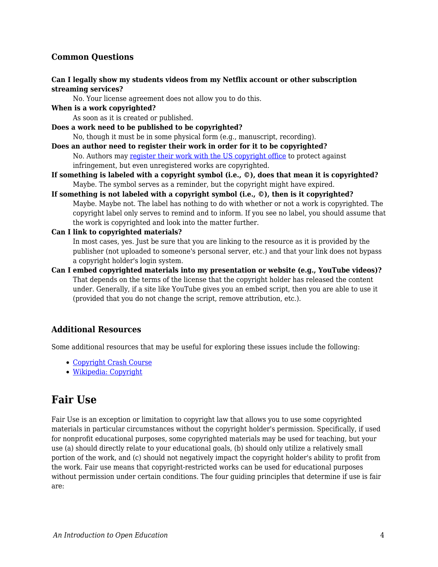## **Common Questions**

#### **Can I legally show my students videos from my Netflix account or other subscription streaming services?**

No. Your license agreement does not allow you to do this.

#### **When is a work copyrighted?**

As soon as it is created or published.

**Does a work need to be published to be copyrighted?**

No, though it must be in some physical form (e.g., manuscript, recording).

- **Does an author need to register their work in order for it to be copyrighted?** No. Authors may [register their work with the US copyright office](http://www.copyright.gov/help/faq/faq-register.html) to protect against infringement, but even unregistered works are copyrighted.
- **If something is labeled with a copyright symbol (i.e., ©), does that mean it is copyrighted?** Maybe. The symbol serves as a reminder, but the copyright might have expired.
- **If something is not labeled with a copyright symbol (i.e., ©), then is it copyrighted?** Maybe. Maybe not. The label has nothing to do with whether or not a work is copyrighted. The copyright label only serves to remind and to inform. If you see no label, you should assume that the work is copyrighted and look into the matter further.

#### **Can I link to copyrighted materials?**

In most cases, yes. Just be sure that you are linking to the resource as it is provided by the publisher (not uploaded to someone's personal server, etc.) and that your link does not bypass a copyright holder's login system.

**Can I embed copyrighted materials into my presentation or website (e.g., YouTube videos)?** That depends on the terms of the license that the copyright holder has released the content under. Generally, if a site like YouTube gives you an embed script, then you are able to use it (provided that you do not change the script, remove attribution, etc.).

#### **Additional Resources**

Some additional resources that may be useful for exploring these issues include the following:

- [Copyright Crash Course](http://copyright.lib.utexas.edu/)
- [Wikipedia: Copyright](http://en.wikipedia.org/wiki/Copyright)

## **Fair Use**

Fair Use is an exception or limitation to copyright law that allows you to use some copyrighted materials in particular circumstances without the copyright holder's permission. Specifically, if used for nonprofit educational purposes, some copyrighted materials may be used for teaching, but your use (a) should directly relate to your educational goals, (b) should only utilize a relatively small portion of the work, and (c) should not negatively impact the copyright holder's ability to profit from the work. Fair use means that copyright-restricted works can be used for educational purposes without permission under certain conditions. The four guiding principles that determine if use is fair are: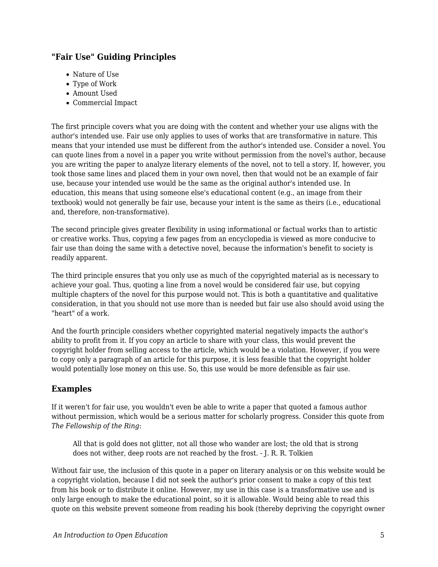## **"Fair Use" Guiding Principles**

- Nature of Use
- Type of Work
- Amount Used
- Commercial Impact

The first principle covers what you are doing with the content and whether your use aligns with the author's intended use. Fair use only applies to uses of works that are transformative in nature. This means that your intended use must be different from the author's intended use. Consider a novel. You can quote lines from a novel in a paper you write without permission from the novel's author, because you are writing the paper to analyze literary elements of the novel, not to tell a story. If, however, you took those same lines and placed them in your own novel, then that would not be an example of fair use, because your intended use would be the same as the original author's intended use. In education, this means that using someone else's educational content (e.g., an image from their textbook) would not generally be fair use, because your intent is the same as theirs (i.e., educational and, therefore, non-transformative).

The second principle gives greater flexibility in using informational or factual works than to artistic or creative works. Thus, copying a few pages from an encyclopedia is viewed as more conducive to fair use than doing the same with a detective novel, because the information's benefit to society is readily apparent.

The third principle ensures that you only use as much of the copyrighted material as is necessary to achieve your goal. Thus, quoting a line from a novel would be considered fair use, but copying multiple chapters of the novel for this purpose would not. This is both a quantitative and qualitative consideration, in that you should not use more than is needed but fair use also should avoid using the "heart" of a work.

And the fourth principle considers whether copyrighted material negatively impacts the author's ability to profit from it. If you copy an article to share with your class, this would prevent the copyright holder from selling access to the article, which would be a violation. However, if you were to copy only a paragraph of an article for this purpose, it is less feasible that the copyright holder would potentially lose money on this use. So, this use would be more defensible as fair use.

## **Examples**

If it weren't for fair use, you wouldn't even be able to write a paper that quoted a famous author without permission, which would be a serious matter for scholarly progress. Consider this quote from *The Fellowship of the Ring*:

All that is gold does not glitter, not all those who wander are lost; the old that is strong does not wither, deep roots are not reached by the frost. - J. R. R. Tolkien

Without fair use, the inclusion of this quote in a paper on literary analysis or on this website would be a copyright violation, because I did not seek the author's prior consent to make a copy of this text from his book or to distribute it online. However, my use in this case is a transformative use and is only large enough to make the educational point, so it is allowable. Would being able to read this quote on this website prevent someone from reading his book (thereby depriving the copyright owner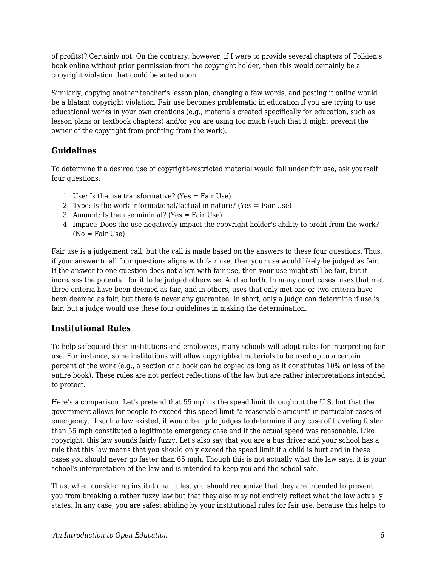of profits)? Certainly not. On the contrary, however, if I were to provide several chapters of Tolkien's book online without prior permission from the copyright holder, then this would certainly be a copyright violation that could be acted upon.

Similarly, copying another teacher's lesson plan, changing a few words, and posting it online would be a blatant copyright violation. Fair use becomes problematic in education if you are trying to use educational works in your own creations (e.g., materials created specifically for education, such as lesson plans or textbook chapters) and/or you are using too much (such that it might prevent the owner of the copyright from profiting from the work).

## **Guidelines**

To determine if a desired use of copyright-restricted material would fall under fair use, ask yourself four questions:

- 1. Use: Is the use transformative? (Yes = Fair Use)
- 2. Type: Is the work informational/factual in nature? (Yes = Fair Use)
- 3. Amount: Is the use minimal? (Yes = Fair Use)
- 4. Impact: Does the use negatively impact the copyright holder's ability to profit from the work?  $(No = Fair Use)$

Fair use is a judgement call, but the call is made based on the answers to these four questions. Thus, if your answer to all four questions aligns with fair use, then your use would likely be judged as fair. If the answer to one question does not align with fair use, then your use might still be fair, but it increases the potential for it to be judged otherwise. And so forth. In many court cases, uses that met three criteria have been deemed as fair, and in others, uses that only met one or two criteria have been deemed as fair, but there is never any guarantee. In short, only a judge can determine if use is fair, but a judge would use these four guidelines in making the determination.

## **Institutional Rules**

To help safeguard their institutions and employees, many schools will adopt rules for interpreting fair use. For instance, some institutions will allow copyrighted materials to be used up to a certain percent of the work (e.g., a section of a book can be copied as long as it constitutes 10% or less of the entire book). These rules are not perfect reflections of the law but are rather interpretations intended to protect.

Here's a comparison. Let's pretend that 55 mph is the speed limit throughout the U.S. but that the government allows for people to exceed this speed limit "a reasonable amount" in particular cases of emergency. If such a law existed, it would be up to judges to determine if any case of traveling faster than 55 mph constituted a legitimate emergency case and if the actual speed was reasonable. Like copyright, this law sounds fairly fuzzy. Let's also say that you are a bus driver and your school has a rule that this law means that you should only exceed the speed limit if a child is hurt and in these cases you should never go faster than 65 mph. Though this is not actually what the law says, it is your school's interpretation of the law and is intended to keep you and the school safe.

Thus, when considering institutional rules, you should recognize that they are intended to prevent you from breaking a rather fuzzy law but that they also may not entirely reflect what the law actually states. In any case, you are safest abiding by your institutional rules for fair use, because this helps to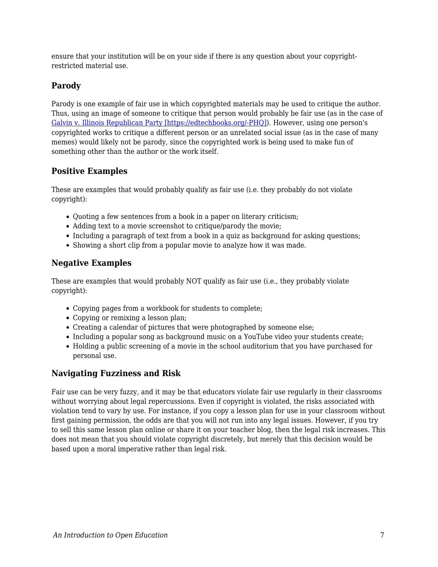ensure that your institution will be on your side if there is any question about your copyrightrestricted material use.

## **Parody**

Parody is one example of fair use in which copyrighted materials may be used to critique the author. Thus, using an image of someone to critique that person would probably be fair use (as in the case of [Galvin v. Illinois Republican Party \[https://edtechbooks.org/-PHQ\]\)](http://copyright.gov/fair-use/summaries/galvin-republican-party-2015.pdf). However, using one person's copyrighted works to critique a different person or an unrelated social issue (as in the case of many memes) would likely not be parody, since the copyrighted work is being used to make fun of something other than the author or the work itself.

## **Positive Examples**

These are examples that would probably qualify as fair use (i.e. they probably do not violate copyright):

- Quoting a few sentences from a book in a paper on literary criticism;
- Adding text to a movie screenshot to critique/parody the movie;
- Including a paragraph of text from a book in a quiz as background for asking questions;
- Showing a short clip from a popular movie to analyze how it was made.

## **Negative Examples**

These are examples that would probably NOT qualify as fair use (i.e., they probably violate copyright):

- Copying pages from a workbook for students to complete;
- Copying or remixing a lesson plan;
- Creating a calendar of pictures that were photographed by someone else;
- Including a popular song as background music on a YouTube video your students create;
- Holding a public screening of a movie in the school auditorium that you have purchased for personal use.

## **Navigating Fuzziness and Risk**

Fair use can be very fuzzy, and it may be that educators violate fair use regularly in their classrooms without worrying about legal repercussions. Even if copyright is violated, the risks associated with violation tend to vary by use. For instance, if you copy a lesson plan for use in your classroom without first gaining permission, the odds are that you will not run into any legal issues. However, if you try to sell this same lesson plan online or share it on your teacher blog, then the legal risk increases. This does not mean that you should violate copyright discretely, but merely that this decision would be based upon a moral imperative rather than legal risk.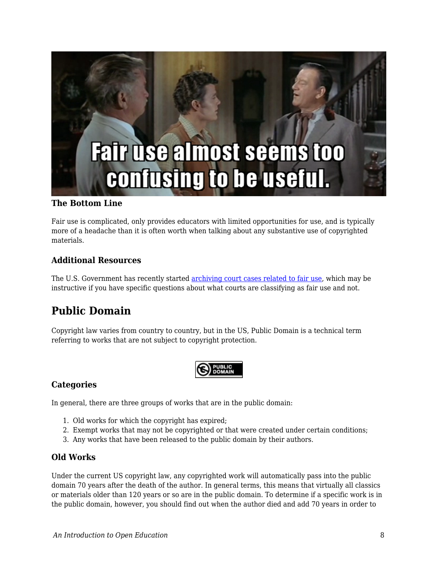

#### **The Bottom Line**

Fair use is complicated, only provides educators with limited opportunities for use, and is typically more of a headache than it is often worth when talking about any substantive use of copyrighted materials.

#### **Additional Resources**

The U.S. Government has recently started [archiving court cases related to fair use](http://copyright.gov/fair-use/fair-index.html), which may be instructive if you have specific questions about what courts are classifying as fair use and not.

## **Public Domain**

Copyright law varies from country to country, but in the US, Public Domain is a technical term referring to works that are not subject to copyright protection.



#### **Categories**

In general, there are three groups of works that are in the public domain:

- 1. Old works for which the copyright has expired;
- 2. Exempt works that may not be copyrighted or that were created under certain conditions;
- 3. Any works that have been released to the public domain by their authors.

#### **Old Works**

Under the current US copyright law, any copyrighted work will automatically pass into the public domain 70 years after the death of the author. In general terms, this means that virtually all classics or materials older than 120 years or so are in the public domain. To determine if a specific work is in the public domain, however, you should find out when the author died and add 70 years in order to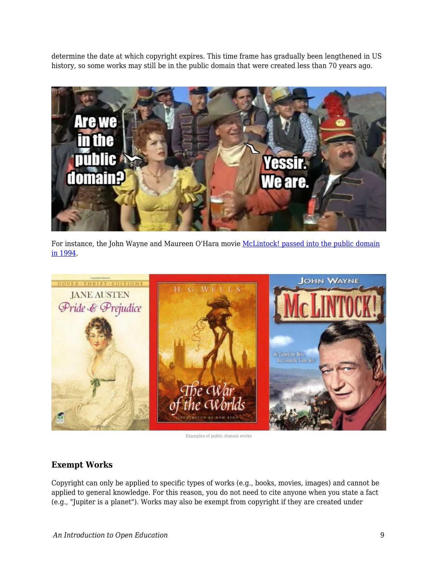determine the date at which copyright expires. This time frame has gradually been lengthened in US history, so some works may still be in the public domain that were created less than 70 years ago.



For instance, the John Wayne and Maureen O'Hara movie [McLintock! passed into the public domain](http://en.wikipedia.org/wiki/McLintock!) [in 1994](http://en.wikipedia.org/wiki/McLintock!).



Examples of public domain works

### **Exempt Works**

Copyright can only be applied to specific types of works (e.g., books, movies, images) and cannot be applied to general knowledge. For this reason, you do not need to cite anyone when you state a fact (e.g., "Jupiter is a planet"). Works may also be exempt from copyright if they are created under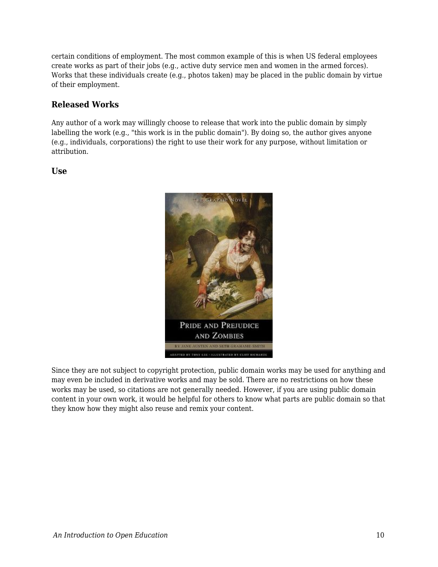certain conditions of employment. The most common example of this is when US federal employees create works as part of their jobs (e.g., active duty service men and women in the armed forces). Works that these individuals create (e.g., photos taken) may be placed in the public domain by virtue of their employment.

## **Released Works**

Any author of a work may willingly choose to release that work into the public domain by simply labelling the work (e.g., "this work is in the public domain"). By doing so, the author gives anyone (e.g., individuals, corporations) the right to use their work for any purpose, without limitation or attribution.

#### **Use**



Since they are not subject to copyright protection, public domain works may be used for anything and may even be included in derivative works and may be sold. There are no restrictions on how these works may be used, so citations are not generally needed. However, if you are using public domain content in your own work, it would be helpful for others to know what parts are public domain so that they know how they might also reuse and remix your content.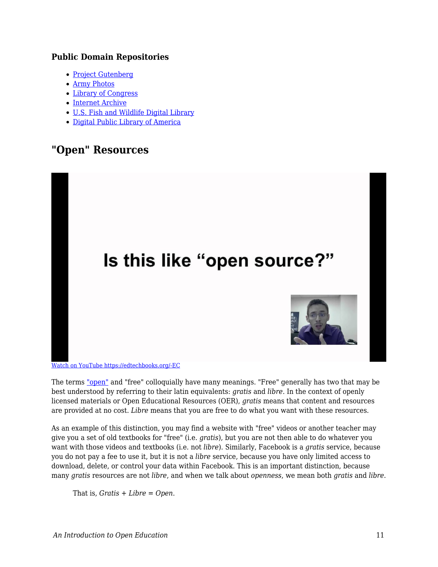### **Public Domain Repositories**

- [Project Gutenberg](http://www.gutenberg.org/)
- [Army Photos](http://www.army.mil/media/)
- [Library of Congress](http://www.loc.gov/)
- [Internet Archive](https://archive.org/)
- [U.S. Fish and Wildlife Digital Library](http://digitalmedia.fws.gov/)
- [Digital Public Library of America](http://dp.la/)

## **"Open" Resources**



[Watch on YouTube https://edtechbooks.org/-EC](https://www.youtube.com/embed/2gGA124fFgs?autoplay=1&rel=0&showinfo=0&modestbranding=1)

The terms ["open"](https://edtechbooks.org/k12handbook/glossary#open) and "free" colloquially have many meanings. "Free" generally has two that may be best understood by referring to their latin equivalents: *gratis* and *libre*. In the context of openly licensed materials or Open Educational Resources (OER), *gratis* means that content and resources are provided at no cost. *Libre* means that you are free to do what you want with these resources.

As an example of this distinction, you may find a website with "free" videos or another teacher may give you a set of old textbooks for "free" (i.e. *gratis*), but you are not then able to do whatever you want with those videos and textbooks (i.e. not *libre*). Similarly, Facebook is a *gratis* service, because you do not pay a fee to use it, but it is not a *libre* service, because you have only limited access to download, delete, or control your data within Facebook. This is an important distinction, because many *gratis* resources are not *libre*, and when we talk about *openness*, we mean both *gratis* and *libre*.

That is, *Gratis + Libre = Open*.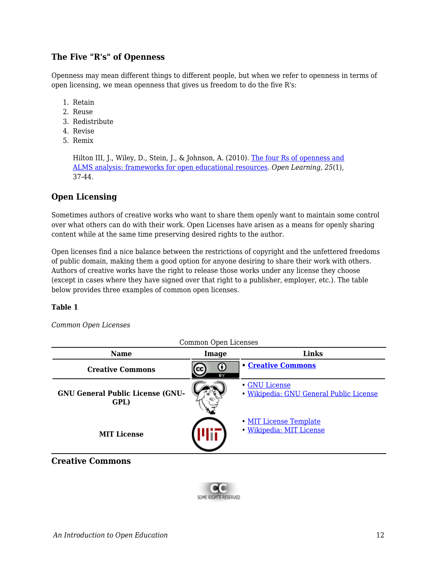## **The Five "R's" of Openness**

Openness may mean different things to different people, but when we refer to openness in terms of open licensing, we mean openness that gives us freedom to do the five R's:

- 1. Retain
- 2. Reuse
- 3. Redistribute
- 4. Revise
- 5. Remix

Hilton III, J., Wiley, D., Stein, J., & Johnson, A. (2010). [The four Rs of openness and](http://www.tandfonline.com/doi/abs/10.1080/02680510903482132#.VUlLRflVhBc) [ALMS analysis: frameworks for open educational resources](http://www.tandfonline.com/doi/abs/10.1080/02680510903482132#.VUlLRflVhBc). *Open Learning, 25*(1), 37-44.

## **Open Licensing**

Sometimes authors of creative works who want to share them openly want to maintain some control over what others can do with their work. Open Licenses have arisen as a means for openly sharing content while at the same time preserving desired rights to the author.

Open licenses find a nice balance between the restrictions of copyright and the unfettered freedoms of public domain, making them a good option for anyone desiring to share their work with others. Authors of creative works have the right to release those works under any license they choose (except in cases where they have signed over that right to a publisher, employer, etc.). The table below provides three examples of common open licenses.

#### **Table 1**

#### *Common Open Licenses*

| Common Open Licenses                            |         |                                                          |  |  |  |
|-------------------------------------------------|---------|----------------------------------------------------------|--|--|--|
| <b>Name</b>                                     | Image   | <b>Links</b>                                             |  |  |  |
| <b>Creative Commons</b>                         | O<br>ΒY | <b>• Creative Commons</b>                                |  |  |  |
| <b>GNU General Public License (GNU-</b><br>GPL) |         | • GNU License<br>· Wikipedia: GNU General Public License |  |  |  |
| <b>MIT License</b>                              |         | • MIT License Template<br>· Wikipedia: MIT License       |  |  |  |

**Creative Commons**

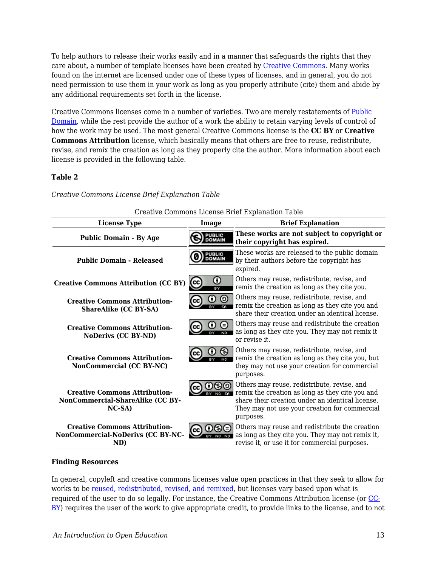To help authors to release their works easily and in a manner that safeguards the rights that they care about, a number of template licenses have been created by [Creative Commons.](http://creativecommons.org/) Many works found on the internet are licensed under one of these types of licenses, and in general, you do not need permission to use them in your work as long as you properly attribute (cite) them and abide by any additional requirements set forth in the license.

Creative Commons licenses come in a number of varieties. Two are merely restatements of [Public](https://edtechbooks.org/k12handbook/glossary#public_domain) [Domain](https://edtechbooks.org/k12handbook/glossary#public_domain), while the rest provide the author of a work the ability to retain varying levels of control of how the work may be used. The most general Creative Commons license is the **CC BY** or **Creative Commons Attribution** license, which basically means that others are free to reuse, redistribute, revise, and remix the creation as long as they properly cite the author. More information about each license is provided in the following table.

#### **Table 2**

| Creative Commons License Brief Explanation Table                                    |                                |                                                                                                                                                                                                                  |  |  |  |
|-------------------------------------------------------------------------------------|--------------------------------|------------------------------------------------------------------------------------------------------------------------------------------------------------------------------------------------------------------|--|--|--|
| <b>License Type</b>                                                                 | Image                          | <b>Brief Explanation</b>                                                                                                                                                                                         |  |  |  |
| <b>Public Domain - By Age</b>                                                       | <b>PUBLIC</b><br>DOMAIN        | These works are not subject to copyright or<br>their copyright has expired.                                                                                                                                      |  |  |  |
| <b>Public Domain - Released</b>                                                     | <b>PUBLIC</b><br><b>DOMAIN</b> | These works are released to the public domain<br>by their authors before the copyright has<br>expired.                                                                                                           |  |  |  |
| <b>Creative Commons Attribution (CC BY)</b>                                         | Ο<br>(cc)<br><b>BY</b>         | Others may reuse, redistribute, revise, and<br>remix the creation as long as they cite you.                                                                                                                      |  |  |  |
| <b>Creative Commons Attribution-</b><br><b>ShareAlike (CC BY-SA)</b>                | ⊚<br>0<br>SA.                  | Others may reuse, redistribute, revise, and<br>remix the creation as long as they cite you and<br>share their creation under an identical license.                                                               |  |  |  |
| <b>Creative Commons Attribution-</b><br><b>NoDerivs (CC BY-ND)</b>                  | ⊜<br>ω<br><b>ND</b>            | Others may reuse and redistribute the creation<br>as long as they cite you. They may not remix it<br>or revise it.                                                                                               |  |  |  |
| <b>Creative Commons Attribution-</b><br>NonCommercial (CC BY-NC)                    | ക                              | Others may reuse, redistribute, revise, and<br>remix the creation as long as they cite you, but<br>they may not use your creation for commercial<br>purposes.                                                    |  |  |  |
| <b>Creative Commons Attribution-</b><br>NonCommercial-ShareAlike (CC BY-<br>$NC-SA$ | cc.                            | Others may reuse, redistribute, revise, and<br>remix the creation as long as they cite you and<br>share their creation under an identical license.<br>They may not use your creation for commercial<br>purposes. |  |  |  |
| <b>Creative Commons Attribution-</b><br>NonCommercial-NoDerivs (CC BY-NC-<br>ND)    |                                | Others may reuse and redistribute the creation<br>as long as they cite you. They may not remix it,<br>revise it, or use it for commercial purposes.                                                              |  |  |  |

*Creative Commons License Brief Explanation Table*

#### **Finding Resources**

In general, copyleft and creative commons licenses value open practices in that they seek to allow for works to be [reused, redistributed, revised, and remixed,](http://contentdm.lib.byu.edu/cdm/ref/collection/IR/id/774) but licenses vary based upon what is required of the user to do so legally. For instance, the Creative Commons Attribution license (or [CC-](http://creativecommons.org/licenses/by/3.0/us/) $\underline{BY}$ ) requires the user of the work to give appropriate credit, to provide links to the license, and to not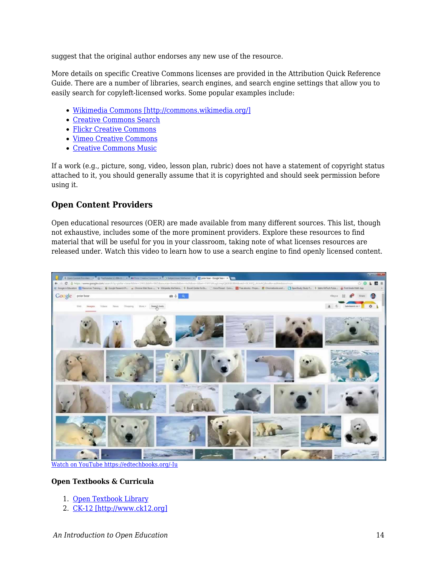suggest that the original author endorses any new use of the resource.

More details on specific Creative Commons licenses are provided in the Attribution Quick Reference Guide. There are a number of libraries, search engines, and search engine settings that allow you to easily search for copyleft-licensed works. Some popular examples include:

- [Wikimedia Commons \[http://commons.wikimedia.org/\]](http://commons.wikimedia.org/)
- [Creative Commons Search](http://search.creativecommons.org/)
- [Flickr Creative Commons](https://edtechbooks.org/-LF)
- [Vimeo Creative Commons](https://edtechbooks.org/-sA)
- [Creative Commons Music](https://edtechbooks.org/-JJ)

If a work (e.g., picture, song, video, lesson plan, rubric) does not have a statement of copyright status attached to it, you should generally assume that it is copyrighted and should seek permission before using it.

### **Open Content Providers**

Open educational resources (OER) are made available from many different sources. This list, though not exhaustive, includes some of the more prominent providers. Explore these resources to find material that will be useful for you in your classroom, taking note of what licenses resources are released under. Watch this video to learn how to use a search engine to find openly licensed content.



[Watch on YouTube https://edtechbooks.org/-Iu](https://www.youtube.com/embed/vQfyDFvLHZE?autoplay=1&rel=0&showinfo=0&modestbranding=1)

#### **Open Textbooks & Curricula**

- 1. [Open Textbook Library](https://open.umn.edu/opentextbooks/)
- 2. [CK-12 \[http://www.ck12.org\]](http://www.ck12.org)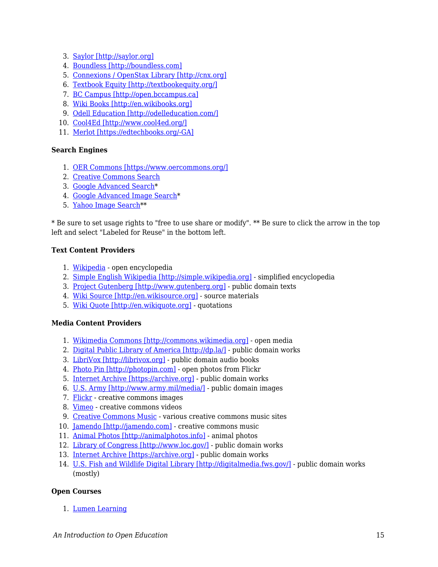- 3. [Saylor \[http://saylor.org\]](http://saylor.org)
- 4. [Boundless \[http://boundless.com\]](http://boundless.com)
- 5. [Connexions / OpenStax Library \[http://cnx.org\]](http://cnx.org)
- 6. [Textbook Equity \[http://textbookequity.org/\]](http://textbookequity.org/)
- 7. [BC Campus \[http://open.bccampus.ca\]](http://open.bccampus.ca)
- 8. [Wiki Books \[http://en.wikibooks.org\]](http://en.wikibooks.org)
- 9. [Odell Education \[http://odelleducation.com/\]](http://odelleducation.com/)
- 10. [Cool4Ed \[http://www.cool4ed.org/\]](http://www.cool4ed.org/)
- 11. [Merlot \[https://edtechbooks.org/-GA\]](http://www.merlot.org/merlot/index.htm)

#### **Search Engines**

- 1. [OER Commons \[https://www.oercommons.org/\]](https://www.oercommons.org/)
- 2. [Creative Commons Search](http://search.creativecommons.org/)
- 3. [Google Advanced Search](https://www.google.com/advanced_search)\*
- 4. [Google Advanced Image Search\\*](http://www.google.com/advanced_image_search)
- 5. [Yahoo Image Search](http://images.search.yahoo.com)\*\*

\* Be sure to set usage rights to "free to use share or modify". \*\* Be sure to click the arrow in the top left and select "Labeled for Reuse" in the bottom left.

#### **Text Content Providers**

- 1. [Wikipedia](https://edtechbooks.org/-nW)  open encyclopedia
- 2. [Simple English Wikipedia \[http://simple.wikipedia.org\]](http://simple.wikipedia.org) simplified encyclopedia
- 3. [Project Gutenberg \[http://www.gutenberg.org\]](http://www.gutenberg.org)  public domain texts
- 4. [Wiki Source \[http://en.wikisource.org\]](http://en.wikisource.org)  source materials
- 5. [Wiki Quote \[http://en.wikiquote.org\]](http://en.wikiquote.org)  quotations

#### **Media Content Providers**

- 1. [Wikimedia Commons \[http://commons.wikimedia.org\]](http://commons.wikimedia.org) open media
- 2. [Digital Public Library of America \[http://dp.la/\]](http://dp.la/) public domain works
- 3. [LibriVox \[http://librivox.org\]](http://librivox.org) public domain audio books
- 4. [Photo Pin \[http://photopin.com\]](http://photopin.com)  open photos from Flickr
- 5. [Internet Archive \[https://archive.org\]](https://archive.org)  public domain works
- 6. [U.S. Army \[http://www.army.mil/media/\]](http://www.army.mil/media/)  public domain images
- 7. [Flickr](https://edtechbooks.org/-LF)  creative commons images
- 8. [Vimeo](https://edtechbooks.org/-sA)  creative commons videos
- 9. [Creative Commons Music](https://edtechbooks.org/-JJ) various creative commons music sites
- 10. [Jamendo \[http://jamendo.com\]](http://jamendo.com) creative commons music
- 11. [Animal Photos \[http://animalphotos.info\]](http://animalphotos.info) animal photos
- 12. [Library of Congress \[http://www.loc.gov/\]](http://www.loc.gov/) public domain works
- 13. [Internet Archive \[https://archive.org\]](https://archive.org)  public domain works
- 14. [U.S. Fish and Wildlife Digital Library \[http://digitalmedia.fws.gov/\]](http://digitalmedia.fws.gov/) public domain works (mostly)

#### **Open Courses**

1. [Lumen Learning](https://edtechbooks.org/-cI)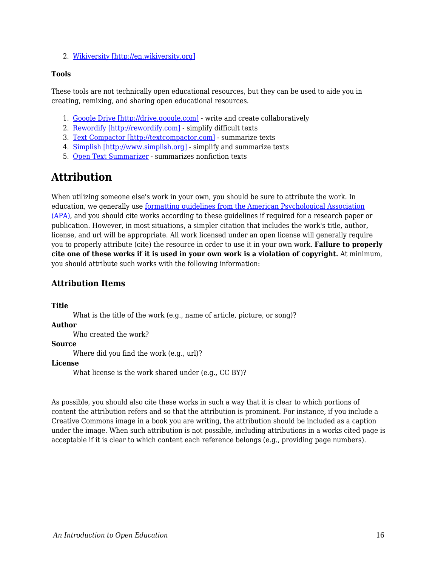2. [Wikiversity \[http://en.wikiversity.org\]](http://en.wikiversity.org)

#### **Tools**

These tools are not technically open educational resources, but they can be used to aide you in creating, remixing, and sharing open educational resources.

- 1. [Google Drive \[http://drive.google.com\]](http://drive.google.com) write and create collaboratively
- 2. [Rewordify \[http://rewordify.com\]](http://rewordify.com) simplify difficult texts
- 3. [Text Compactor \[http://textcompactor.com\]](http://textcompactor.com)  summarize texts
- 4. [Simplish \[http://www.simplish.org\]](http://www.simplish.org)  simplify and summarize texts
- 5. [Open Text Summarizer](https://edtechbooks.org/-vL)  summarizes nonfiction texts

## **Attribution**

When utilizing someone else's work in your own, you should be sure to attribute the work. In education, we generally use [formatting guidelines from the American Psychological Association](http://www.apastyle.org/) [\(APA\)](http://www.apastyle.org/), and you should cite works according to these guidelines if required for a research paper or publication. However, in most situations, a simpler citation that includes the work's title, author, license, and url will be appropriate. All work licensed under an open license will generally require you to properly attribute (cite) the resource in order to use it in your own work. **Failure to properly cite one of these works if it is used in your own work is a violation of copyright.** At minimum, you should attribute such works with the following information:

## **Attribution Items**

**Title**

What is the title of the work (e.g., name of article, picture, or song)?

#### **Author**

Who created the work?

#### **Source**

Where did you find the work (e.g., url)?

#### **License**

What license is the work shared under (e.g., CC BY)?

As possible, you should also cite these works in such a way that it is clear to which portions of content the attribution refers and so that the attribution is prominent. For instance, if you include a Creative Commons image in a book you are writing, the attribution should be included as a caption under the image. When such attribution is not possible, including attributions in a works cited page is acceptable if it is clear to which content each reference belongs (e.g., providing page numbers).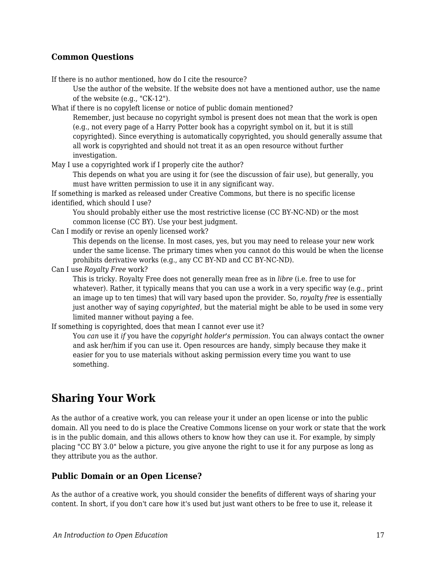### **Common Questions**

If there is no author mentioned, how do I cite the resource?

Use the author of the website. If the website does not have a mentioned author, use the name of the website (e.g., "CK-12").

What if there is no copyleft license or notice of public domain mentioned?

Remember, just because no copyright symbol is present does not mean that the work is open (e.g., not every page of a Harry Potter book has a copyright symbol on it, but it is still copyrighted). Since everything is automatically copyrighted, you should generally assume that all work is copyrighted and should not treat it as an open resource without further investigation.

May I use a copyrighted work if I properly cite the author?

This depends on what you are using it for (see the discussion of fair use), but generally, you must have written permission to use it in any significant way.

If something is marked as released under Creative Commons, but there is no specific license identified, which should I use?

You should probably either use the most restrictive license (CC BY-NC-ND) or the most common license (CC BY). Use your best judgment.

Can I modify or revise an openly licensed work?

This depends on the license. In most cases, yes, but you may need to release your new work under the same license. The primary times when you cannot do this would be when the license prohibits derivative works (e.g., any CC BY-ND and CC BY-NC-ND).

Can I use *Royalty Free* work?

This is tricky. Royalty Free does not generally mean free as in *libre* (i.e. free to use for whatever). Rather, it typically means that you can use a work in a very specific way (e.g., print an image up to ten times) that will vary based upon the provider. So, *royalty free* is essentially just another way of saying *copyrighted*, but the material might be able to be used in some very limited manner without paying a fee.

If something is copyrighted, does that mean I cannot ever use it?

You *can* use it *if* you have the *copyright holder's permission*. You can always contact the owner and ask her/him if you can use it. Open resources are handy, simply because they make it easier for you to use materials without asking permission every time you want to use something.

## **Sharing Your Work**

As the author of a creative work, you can release your it under an open license or into the public domain. All you need to do is place the Creative Commons license on your work or state that the work is in the public domain, and this allows others to know how they can use it. For example, by simply placing "CC BY 3.0" below a picture, you give anyone the right to use it for any purpose as long as they attribute you as the author.

#### **Public Domain or an Open License?**

As the author of a creative work, you should consider the benefits of different ways of sharing your content. In short, if you don't care how it's used but just want others to be free to use it, release it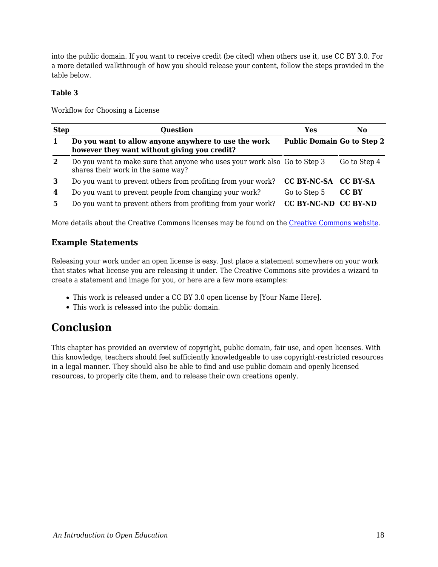into the public domain. If you want to receive credit (be cited) when others use it, use CC BY 3.0. For a more detailed walkthrough of how you should release your content, follow the steps provided in the table below.

#### **Table 3**

Workflow for Choosing a License

| <b>Step</b>  | <b>Question</b>                                                                                                 | Yes                               | No.          |
|--------------|-----------------------------------------------------------------------------------------------------------------|-----------------------------------|--------------|
|              | Do you want to allow anyone anywhere to use the work<br>however they want without giving you credit?            | <b>Public Domain Go to Step 2</b> |              |
| $\mathbf{2}$ | Do you want to make sure that anyone who uses your work also Go to Step 3<br>shares their work in the same way? |                                   | Go to Step 4 |
| 3            | Do you want to prevent others from profiting from your work?                                                    | CC BY-NC-SA CC BY-SA              |              |
| 4            | Do you want to prevent people from changing your work?                                                          | Go to Step 5                      | CC BY        |
| 5            | Do you want to prevent others from profiting from your work?                                                    | CC BY-NC-ND CC BY-ND              |              |

More details about the Creative Commons licenses may be found on the [Creative Commons website](https://creativecommons.org/).

### **Example Statements**

Releasing your work under an open license is easy. Just place a statement somewhere on your work that states what license you are releasing it under. The Creative Commons site provides a wizard to create a statement and image for you, or here are a few more examples:

- This work is released under a CC BY 3.0 open license by [Your Name Here].
- This work is released into the public domain.

## **Conclusion**

This chapter has provided an overview of copyright, public domain, fair use, and open licenses. With this knowledge, teachers should feel sufficiently knowledgeable to use copyright-restricted resources in a legal manner. They should also be able to find and use public domain and openly licensed resources, to properly cite them, and to release their own creations openly.